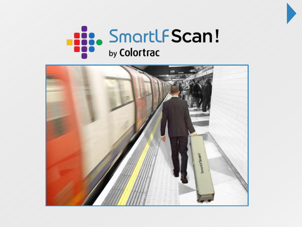



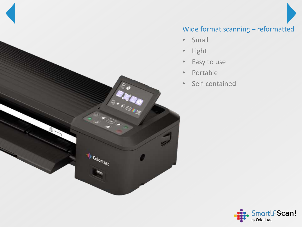

# Wide format scanning – reformatted

- Small
- Light
- Easy to use
- Portable
- Self-contained

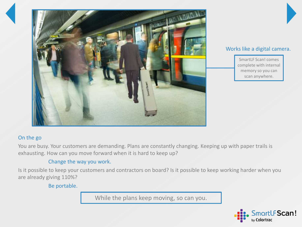

### Works like a digital camera.

SmartLF Scan! comes complete with internal memory so you can scan anywhere.

## On the go

You are busy. Your customers are demanding. Plans are constantly changing. Keeping up with paper trails is exhausting. How can you move forward when it is hard to keep up?

## Change the way you work.

Is it possible to keep your customers and contractors on board? Is it possible to keep working harder when you are already giving 110%?

Be portable.

While the plans keep moving, so can you.

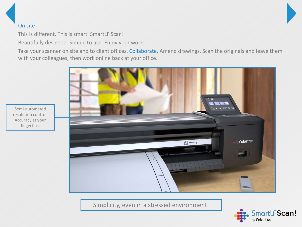## On site

This is different. This is smart. SmartLF Scan!

Beautifully designed. Simple to use. Enjoy your work.

Take your scanner on site and to client offices. Collaborate. Amend drawings. Scan the originals and leave them with your colleagues, then work online back at your office.



Semi-automated resolution control. Accuracy at your fingertips.

Simplicity, even in a stressed environment.

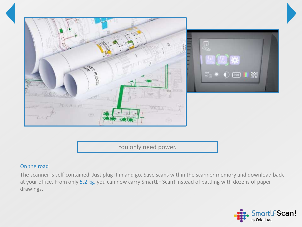

You only need power.

### On the road

The scanner is self-contained. Just plug it in and go. Save scans within the scanner memory and download back at your office. From only 5.2 kg, you can now carry SmartLF Scan! instead of battling with dozens of paper drawings.

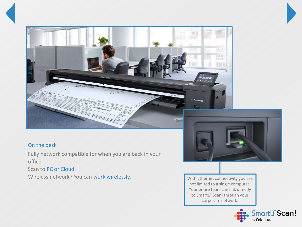



## On the desk

Fully network compatible for when you are back in your office.

Scan to PC or Cloud.

Wireless network? You can work wirelessly.

With Ethernet connectivity you are not limited to a single computer. Your entire team can link directly to SmartLF Scan! through your corporate network.

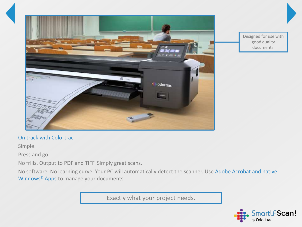

Designed for use with good quality documents.

#### On track with Colortrac

Simple.

Press and go.

No frills. Output to PDF and TIFF. Simply great scans.

No software. No learning curve. Your PC will automatically detect the scanner. Use Adobe Acrobat and native Windows® Apps to manage your documents.

Exactly what your project needs.

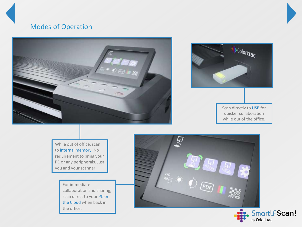# Modes of Operation





Scan directly to USB for quicker collaboration while out of the office.

While out of office, scan to internal memory. No requirement to bring your PC or any peripherals. Just you and your scanner.

> For immediate collaboration and sharing, scan direct to your PC or the Cloud when back in the office.



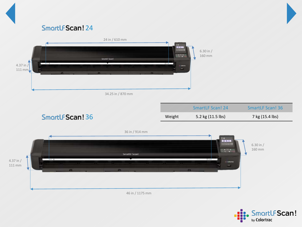

# SmartLFScan! 24



46 in / 1175 mm

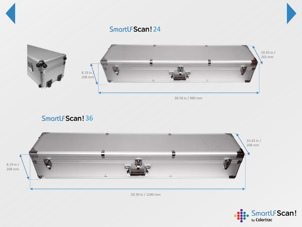



SmartLFScan! 36



50.39 in / 1280 mm

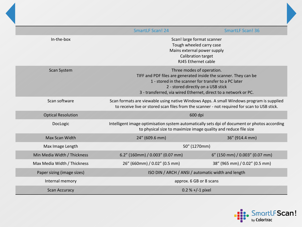|                             | <b>SmartLF Scan! 24</b>                                                                                                                                                                                                                                        | <b>SmartLF Scan! 36</b>        |
|-----------------------------|----------------------------------------------------------------------------------------------------------------------------------------------------------------------------------------------------------------------------------------------------------------|--------------------------------|
| In-the-box                  | Scan! large format scanner<br>Tough wheeled carry case<br>Mains external power supply<br>Calibration target<br>RJ45 Ethernet cable                                                                                                                             |                                |
| <b>Scan System</b>          | Three modes of operation.<br>TIFF and PDF files are generated inside the scanner. They can be<br>1 - stored in the scanner for transfer to a PC later<br>2 - stored directly on a USB stick<br>3 - transferred, via wired Ethernet, direct to a network or PC. |                                |
| Scan software               | Scan formats are viewable using native Windows Apps. A small Windows program is supplied<br>to receive live or stored scan files from the scanner - not required for scan to USB stick.                                                                        |                                |
| <b>Optical Resolution</b>   | 600 dpi                                                                                                                                                                                                                                                        |                                |
| DocLogic                    | Intelligent image optimisation system automatically sets dpi of document or photos according<br>to physical size to maximize image quality and reduce file size                                                                                                |                                |
| Max Scan Width              | 24" (609.6 mm)                                                                                                                                                                                                                                                 | 36" (914.4 mm)                 |
| Max Image Length            | 50" (1270mm)                                                                                                                                                                                                                                                   |                                |
| Min Media Width / Thickness | 6.2" (160mm) / 0.003" (0.07 mm)                                                                                                                                                                                                                                | 6" (150 mm) / 0.003" (0.07 mm) |
| Max Media Width / Thickness | 26" (660mm) / 0.02" (0.5 mm)                                                                                                                                                                                                                                   | 38" (965 mm) / 0.02" (0.5 mm)  |
| Paper sizing (image sizes)  | ISO DIN / ARCH / ANSI / automatic width and length                                                                                                                                                                                                             |                                |
| Internal memory             | approx. 6 GB or 8 scans                                                                                                                                                                                                                                        |                                |
| <b>Scan Accuracy</b>        | $0.2 % +/-1$ pixel                                                                                                                                                                                                                                             |                                |

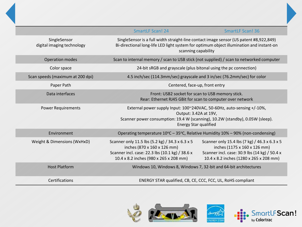|                                            | <b>SmartLF Scan! 24</b>                                                                                                                                                                                          |                                                                                                                                                                           |
|--------------------------------------------|------------------------------------------------------------------------------------------------------------------------------------------------------------------------------------------------------------------|---------------------------------------------------------------------------------------------------------------------------------------------------------------------------|
|                                            |                                                                                                                                                                                                                  | <b>SmartLF Scan! 36</b>                                                                                                                                                   |
| SingleSensor<br>digital imaging technology | SingleSensor is a full width straight-line contact image sensor (US patent #8,922,849)<br>Bi-directional long-life LED light system for optimum object illumination and instant-on<br>scanning capability        |                                                                                                                                                                           |
| <b>Operation modes</b>                     | Scan to internal memory / scan to USB stick (not supplied) / scan to networked computer                                                                                                                          |                                                                                                                                                                           |
| Color space                                | 24-bit sRGB and grayscale (plus bitonal using the pc connection)                                                                                                                                                 |                                                                                                                                                                           |
| Scan speeds (maximum at 200 dpi)           | 4.5 inch/sec (114.3mm/sec) grayscale and 3 in/sec (76.2mm/sec) for color                                                                                                                                         |                                                                                                                                                                           |
| Paper Path                                 | Centered, face-up, front entry                                                                                                                                                                                   |                                                                                                                                                                           |
| Data interfaces                            | Front: USB2 socket for scan to USB memory stick.<br>Rear: Ethernet RJ45 GBit for scan to computer over network                                                                                                   |                                                                                                                                                                           |
| <b>Power Requirements</b>                  | External power supply Input: 100~240VAC, 50-60Hz, auto-sensing +/-10%,<br>Output: 3.42A at 19V,<br>Scanner power consumption: 19.4 W (scanning), 10.2W (standby), 0.05W (sleep).<br><b>Energy Star qualified</b> |                                                                                                                                                                           |
| Environment                                | Operating temperature 10°C - 35°C, Relative Humidity 10% - 90% (non-condensing)                                                                                                                                  |                                                                                                                                                                           |
| Weight & Dimensions (WxHxD)                | Scanner only 11.5 lbs (5.2 kg) / 34.3 x 6.3 x 5<br>inches (870 x 160 x 126 mm)<br>Scanner incl. case: 22.3 lbs (10.1 kg) / 38.6 x<br>10.4 x 8.2 inches (980 x 265 x 208 mm)                                      | Scanner only 15.4 lbs (7 kg) / 46.3 x 6.3 x 5<br>inches (1175 x 160 x 126 mm)<br>Scanner incl. case: 30.9 lbs (14 kg) / 50.4 x<br>10.4 x 8.2 inches (1280 x 265 x 208 mm) |
| <b>Host Platform</b>                       | Windows 10, Windows 8, Windows 7, 32-bit and 64-bit architectures                                                                                                                                                |                                                                                                                                                                           |
| <b>Certifications</b>                      | ENERGY STAR qualified, CB, CE, CCC, FCC, UL, RoHS compliant                                                                                                                                                      |                                                                                                                                                                           |